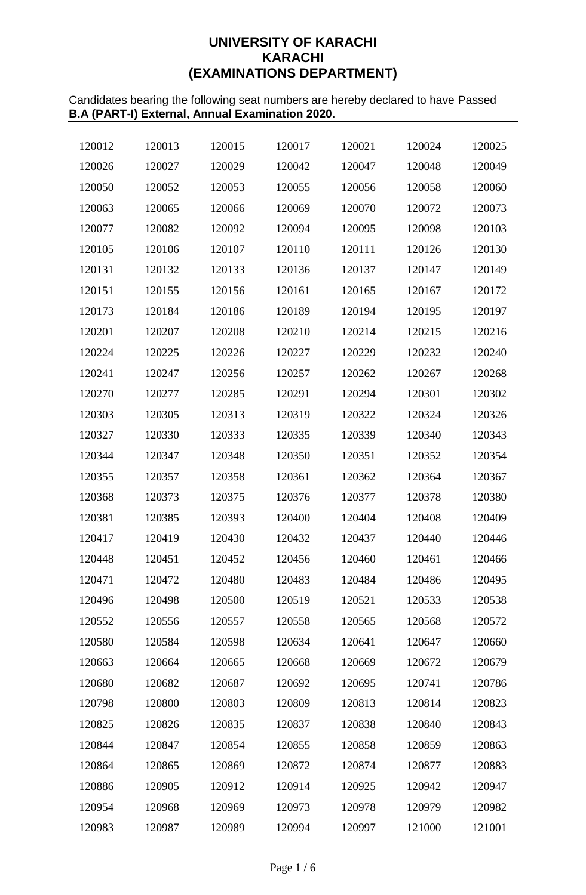# **UNIVERSITY OF KARACHI KARACHI (EXAMINATIONS DEPARTMENT)**

Candidates bearing the following seat numbers are hereby declared to have Passed **B.A (PART-I) External, Annual Examination 2020.**

| 120012 | 120013 | 120015 | 120017 | 120021 | 120024 | 120025 |
|--------|--------|--------|--------|--------|--------|--------|
| 120026 | 120027 | 120029 | 120042 | 120047 | 120048 | 120049 |
| 120050 | 120052 | 120053 | 120055 | 120056 | 120058 | 120060 |
| 120063 | 120065 | 120066 | 120069 | 120070 | 120072 | 120073 |
| 120077 | 120082 | 120092 | 120094 | 120095 | 120098 | 120103 |
| 120105 | 120106 | 120107 | 120110 | 120111 | 120126 | 120130 |
| 120131 | 120132 | 120133 | 120136 | 120137 | 120147 | 120149 |
| 120151 | 120155 | 120156 | 120161 | 120165 | 120167 | 120172 |
| 120173 | 120184 | 120186 | 120189 | 120194 | 120195 | 120197 |
| 120201 | 120207 | 120208 | 120210 | 120214 | 120215 | 120216 |
| 120224 | 120225 | 120226 | 120227 | 120229 | 120232 | 120240 |
| 120241 | 120247 | 120256 | 120257 | 120262 | 120267 | 120268 |
| 120270 | 120277 | 120285 | 120291 | 120294 | 120301 | 120302 |
| 120303 | 120305 | 120313 | 120319 | 120322 | 120324 | 120326 |
| 120327 | 120330 | 120333 | 120335 | 120339 | 120340 | 120343 |
| 120344 | 120347 | 120348 | 120350 | 120351 | 120352 | 120354 |
| 120355 | 120357 | 120358 | 120361 | 120362 | 120364 | 120367 |
| 120368 | 120373 | 120375 | 120376 | 120377 | 120378 | 120380 |
| 120381 | 120385 | 120393 | 120400 | 120404 | 120408 | 120409 |
| 120417 | 120419 | 120430 | 120432 | 120437 | 120440 | 120446 |
| 120448 | 120451 | 120452 | 120456 | 120460 | 120461 | 120466 |
| 120471 | 120472 | 120480 | 120483 | 120484 | 120486 | 120495 |
| 120496 | 120498 | 120500 | 120519 | 120521 | 120533 | 120538 |
| 120552 | 120556 | 120557 | 120558 | 120565 | 120568 | 120572 |
| 120580 | 120584 | 120598 | 120634 | 120641 | 120647 | 120660 |
| 120663 | 120664 | 120665 | 120668 | 120669 | 120672 | 120679 |
| 120680 | 120682 | 120687 | 120692 | 120695 | 120741 | 120786 |
| 120798 | 120800 | 120803 | 120809 | 120813 | 120814 | 120823 |
| 120825 | 120826 | 120835 | 120837 | 120838 | 120840 | 120843 |
| 120844 | 120847 | 120854 | 120855 | 120858 | 120859 | 120863 |
| 120864 | 120865 | 120869 | 120872 | 120874 | 120877 | 120883 |
| 120886 | 120905 | 120912 | 120914 | 120925 | 120942 | 120947 |
| 120954 | 120968 | 120969 | 120973 | 120978 | 120979 | 120982 |
| 120983 | 120987 | 120989 | 120994 | 120997 | 121000 | 121001 |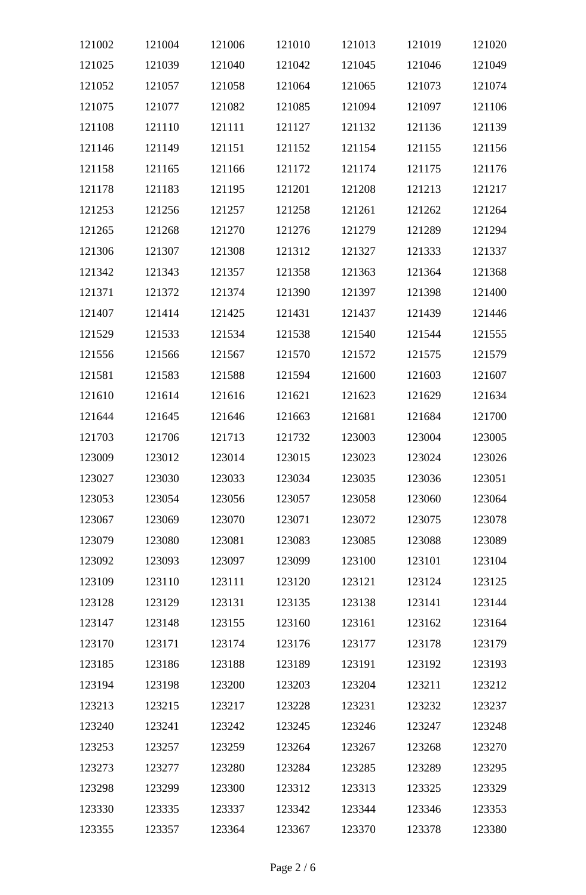| 121002 | 121004 | 121006 | 121010 | 121013 | 121019 | 121020 |
|--------|--------|--------|--------|--------|--------|--------|
| 121025 | 121039 | 121040 | 121042 | 121045 | 121046 | 121049 |
| 121052 | 121057 | 121058 | 121064 | 121065 | 121073 | 121074 |
| 121075 | 121077 | 121082 | 121085 | 121094 | 121097 | 121106 |
| 121108 | 121110 | 121111 | 121127 | 121132 | 121136 | 121139 |
| 121146 | 121149 | 121151 | 121152 | 121154 | 121155 | 121156 |
| 121158 | 121165 | 121166 | 121172 | 121174 | 121175 | 121176 |
| 121178 | 121183 | 121195 | 121201 | 121208 | 121213 | 121217 |
| 121253 | 121256 | 121257 | 121258 | 121261 | 121262 | 121264 |
| 121265 | 121268 | 121270 | 121276 | 121279 | 121289 | 121294 |
| 121306 | 121307 | 121308 | 121312 | 121327 | 121333 | 121337 |
| 121342 | 121343 | 121357 | 121358 | 121363 | 121364 | 121368 |
| 121371 | 121372 | 121374 | 121390 | 121397 | 121398 | 121400 |
| 121407 | 121414 | 121425 | 121431 | 121437 | 121439 | 121446 |
| 121529 | 121533 | 121534 | 121538 | 121540 | 121544 | 121555 |
| 121556 | 121566 | 121567 | 121570 | 121572 | 121575 | 121579 |
| 121581 | 121583 | 121588 | 121594 | 121600 | 121603 | 121607 |
| 121610 | 121614 | 121616 | 121621 | 121623 | 121629 | 121634 |
| 121644 | 121645 | 121646 | 121663 | 121681 | 121684 | 121700 |
| 121703 | 121706 | 121713 | 121732 | 123003 | 123004 | 123005 |
| 123009 | 123012 | 123014 | 123015 | 123023 | 123024 | 123026 |
| 123027 | 123030 | 123033 | 123034 | 123035 | 123036 | 123051 |
| 123053 | 123054 | 123056 | 123057 | 123058 | 123060 | 123064 |
| 123067 | 123069 | 123070 | 123071 | 123072 | 123075 | 123078 |
| 123079 | 123080 | 123081 | 123083 | 123085 | 123088 | 123089 |
| 123092 | 123093 | 123097 | 123099 | 123100 | 123101 | 123104 |
| 123109 | 123110 | 123111 | 123120 | 123121 | 123124 | 123125 |
| 123128 | 123129 | 123131 | 123135 | 123138 | 123141 | 123144 |
| 123147 | 123148 | 123155 | 123160 | 123161 | 123162 | 123164 |
| 123170 | 123171 | 123174 | 123176 | 123177 | 123178 | 123179 |
| 123185 | 123186 | 123188 | 123189 | 123191 | 123192 | 123193 |
| 123194 | 123198 | 123200 | 123203 | 123204 | 123211 | 123212 |
| 123213 | 123215 | 123217 | 123228 | 123231 | 123232 | 123237 |
| 123240 | 123241 | 123242 | 123245 | 123246 | 123247 | 123248 |
| 123253 | 123257 | 123259 | 123264 | 123267 | 123268 | 123270 |
| 123273 | 123277 | 123280 | 123284 | 123285 | 123289 | 123295 |
| 123298 | 123299 | 123300 | 123312 | 123313 | 123325 | 123329 |
| 123330 | 123335 | 123337 | 123342 | 123344 | 123346 | 123353 |
| 123355 | 123357 | 123364 | 123367 | 123370 | 123378 | 123380 |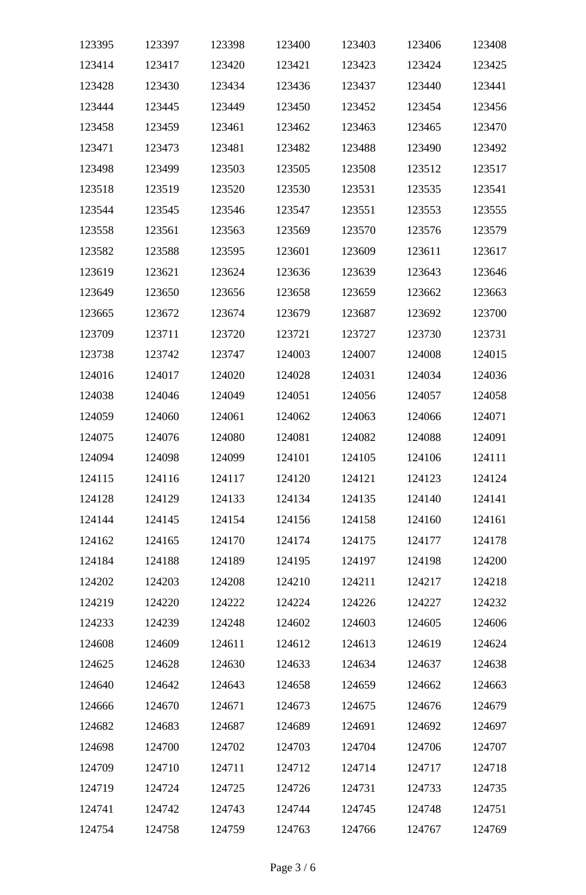| 123395 | 123397 | 123398 | 123400 | 123403 | 123406 | 123408 |
|--------|--------|--------|--------|--------|--------|--------|
| 123414 | 123417 | 123420 | 123421 | 123423 | 123424 | 123425 |
| 123428 | 123430 | 123434 | 123436 | 123437 | 123440 | 123441 |
| 123444 | 123445 | 123449 | 123450 | 123452 | 123454 | 123456 |
| 123458 | 123459 | 123461 | 123462 | 123463 | 123465 | 123470 |
| 123471 | 123473 | 123481 | 123482 | 123488 | 123490 | 123492 |
| 123498 | 123499 | 123503 | 123505 | 123508 | 123512 | 123517 |
| 123518 | 123519 | 123520 | 123530 | 123531 | 123535 | 123541 |
| 123544 | 123545 | 123546 | 123547 | 123551 | 123553 | 123555 |
| 123558 | 123561 | 123563 | 123569 | 123570 | 123576 | 123579 |
| 123582 | 123588 | 123595 | 123601 | 123609 | 123611 | 123617 |
| 123619 | 123621 | 123624 | 123636 | 123639 | 123643 | 123646 |
| 123649 | 123650 | 123656 | 123658 | 123659 | 123662 | 123663 |
| 123665 | 123672 | 123674 | 123679 | 123687 | 123692 | 123700 |
| 123709 | 123711 | 123720 | 123721 | 123727 | 123730 | 123731 |
| 123738 | 123742 | 123747 | 124003 | 124007 | 124008 | 124015 |
| 124016 | 124017 | 124020 | 124028 | 124031 | 124034 | 124036 |
| 124038 | 124046 | 124049 | 124051 | 124056 | 124057 | 124058 |
| 124059 | 124060 | 124061 | 124062 | 124063 | 124066 | 124071 |
| 124075 | 124076 | 124080 | 124081 | 124082 | 124088 | 124091 |
| 124094 | 124098 | 124099 | 124101 | 124105 | 124106 | 124111 |
| 124115 | 124116 | 124117 | 124120 | 124121 | 124123 | 124124 |
| 124128 | 124129 | 124133 | 124134 | 124135 | 124140 | 124141 |
| 124144 | 124145 | 124154 | 124156 | 124158 | 124160 | 124161 |
| 124162 | 124165 | 124170 | 124174 | 124175 | 124177 | 124178 |
| 124184 | 124188 | 124189 | 124195 | 124197 | 124198 | 124200 |
| 124202 | 124203 | 124208 | 124210 | 124211 | 124217 | 124218 |
| 124219 | 124220 | 124222 | 124224 | 124226 | 124227 | 124232 |
| 124233 | 124239 | 124248 | 124602 | 124603 | 124605 | 124606 |
| 124608 | 124609 | 124611 | 124612 | 124613 | 124619 | 124624 |
| 124625 | 124628 | 124630 | 124633 | 124634 | 124637 | 124638 |
| 124640 | 124642 | 124643 | 124658 | 124659 | 124662 | 124663 |
| 124666 | 124670 | 124671 | 124673 | 124675 | 124676 | 124679 |
| 124682 | 124683 | 124687 | 124689 | 124691 | 124692 | 124697 |
| 124698 | 124700 | 124702 | 124703 | 124704 | 124706 | 124707 |
| 124709 | 124710 | 124711 | 124712 | 124714 | 124717 | 124718 |
| 124719 | 124724 | 124725 | 124726 | 124731 | 124733 | 124735 |
| 124741 | 124742 | 124743 | 124744 | 124745 | 124748 | 124751 |
| 124754 | 124758 | 124759 | 124763 | 124766 | 124767 | 124769 |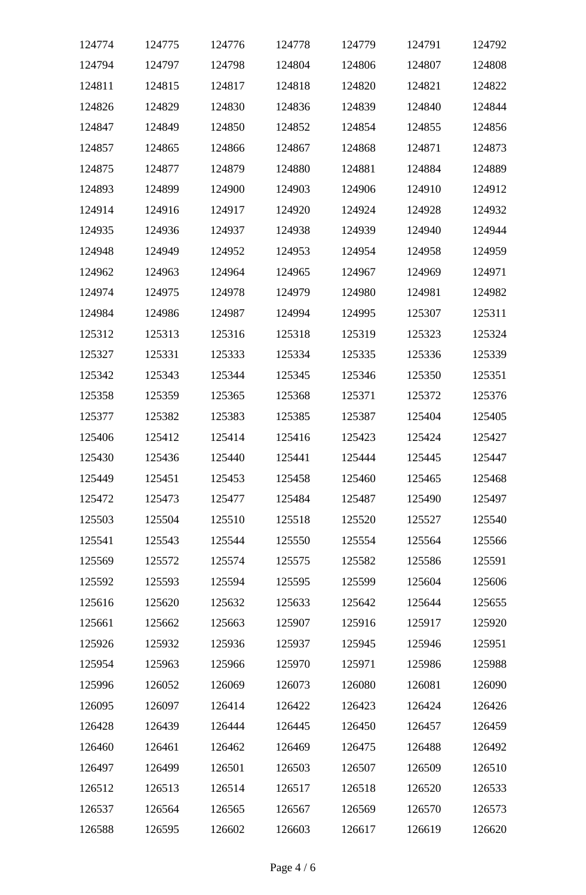| 124774 | 124775 | 124776 | 124778 | 124779 | 124791 | 124792 |
|--------|--------|--------|--------|--------|--------|--------|
| 124794 | 124797 | 124798 | 124804 | 124806 | 124807 | 124808 |
| 124811 | 124815 | 124817 | 124818 | 124820 | 124821 | 124822 |
| 124826 | 124829 | 124830 | 124836 | 124839 | 124840 | 124844 |
| 124847 | 124849 | 124850 | 124852 | 124854 | 124855 | 124856 |
| 124857 | 124865 | 124866 | 124867 | 124868 | 124871 | 124873 |
| 124875 | 124877 | 124879 | 124880 | 124881 | 124884 | 124889 |
| 124893 | 124899 | 124900 | 124903 | 124906 | 124910 | 124912 |
| 124914 | 124916 | 124917 | 124920 | 124924 | 124928 | 124932 |
| 124935 | 124936 | 124937 | 124938 | 124939 | 124940 | 124944 |
| 124948 | 124949 | 124952 | 124953 | 124954 | 124958 | 124959 |
| 124962 | 124963 | 124964 | 124965 | 124967 | 124969 | 124971 |
| 124974 | 124975 | 124978 | 124979 | 124980 | 124981 | 124982 |
| 124984 | 124986 | 124987 | 124994 | 124995 | 125307 | 125311 |
| 125312 | 125313 | 125316 | 125318 | 125319 | 125323 | 125324 |
| 125327 | 125331 | 125333 | 125334 | 125335 | 125336 | 125339 |
| 125342 | 125343 | 125344 | 125345 | 125346 | 125350 | 125351 |
| 125358 | 125359 | 125365 | 125368 | 125371 | 125372 | 125376 |
| 125377 | 125382 | 125383 | 125385 | 125387 | 125404 | 125405 |
| 125406 | 125412 | 125414 | 125416 | 125423 | 125424 | 125427 |
| 125430 | 125436 | 125440 | 125441 | 125444 | 125445 | 125447 |
| 125449 | 125451 | 125453 | 125458 | 125460 | 125465 | 125468 |
| 125472 | 125473 | 125477 | 125484 | 125487 | 125490 | 125497 |
| 125503 | 125504 | 125510 | 125518 | 125520 | 125527 | 125540 |
| 125541 | 125543 | 125544 | 125550 | 125554 | 125564 | 125566 |
| 125569 | 125572 | 125574 | 125575 | 125582 | 125586 | 125591 |
| 125592 | 125593 | 125594 | 125595 | 125599 | 125604 | 125606 |
| 125616 | 125620 | 125632 | 125633 | 125642 | 125644 | 125655 |
| 125661 | 125662 | 125663 | 125907 | 125916 | 125917 | 125920 |
| 125926 | 125932 | 125936 | 125937 | 125945 | 125946 | 125951 |
| 125954 | 125963 | 125966 | 125970 | 125971 | 125986 | 125988 |
| 125996 | 126052 | 126069 | 126073 | 126080 | 126081 | 126090 |
| 126095 | 126097 | 126414 | 126422 | 126423 | 126424 | 126426 |
| 126428 | 126439 | 126444 | 126445 | 126450 | 126457 | 126459 |
| 126460 | 126461 | 126462 | 126469 | 126475 | 126488 | 126492 |
| 126497 | 126499 | 126501 | 126503 | 126507 | 126509 | 126510 |
| 126512 | 126513 | 126514 | 126517 | 126518 | 126520 | 126533 |
| 126537 | 126564 | 126565 | 126567 | 126569 | 126570 | 126573 |
| 126588 | 126595 | 126602 | 126603 | 126617 | 126619 | 126620 |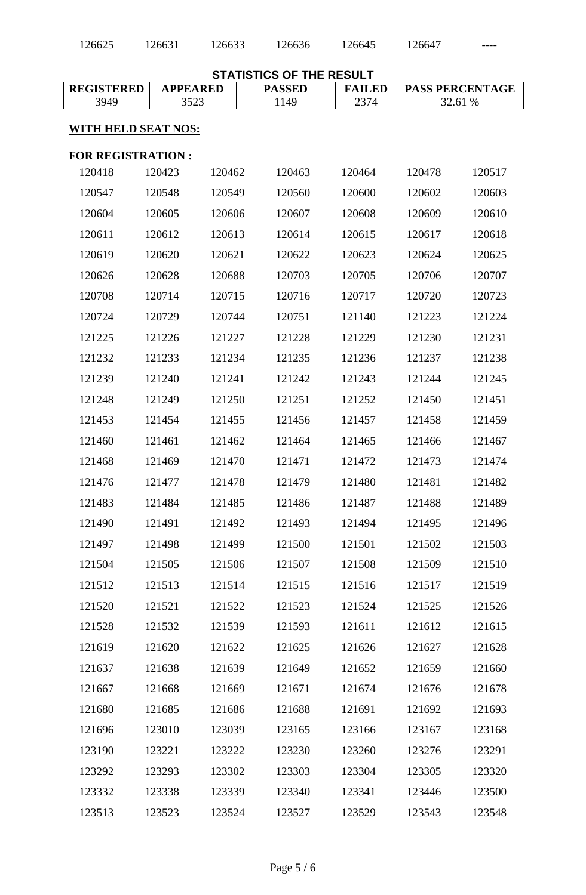| 126625                     | 126631          | 126633 | 126636                                           | 126645        | 126647 |                        |
|----------------------------|-----------------|--------|--------------------------------------------------|---------------|--------|------------------------|
|                            |                 |        |                                                  |               |        |                        |
| <b>REGISTERED</b>          | <b>APPEARED</b> |        | <b>STATISTICS OF THE RESULT</b><br><b>PASSED</b> | <b>FAILED</b> |        | <b>PASS PERCENTAGE</b> |
| 3949                       | 3523            |        | 1149                                             | 2374          |        | 32.61 %                |
| <b>WITH HELD SEAT NOS:</b> |                 |        |                                                  |               |        |                        |
| <b>FOR REGISTRATION:</b>   |                 |        |                                                  |               |        |                        |
| 120418                     | 120423          | 120462 | 120463                                           | 120464        | 120478 | 120517                 |
| 120547                     | 120548          | 120549 | 120560                                           | 120600        | 120602 | 120603                 |
| 120604                     | 120605          | 120606 | 120607                                           | 120608        | 120609 | 120610                 |
| 120611                     | 120612          | 120613 | 120614                                           | 120615        | 120617 | 120618                 |
| 120619                     | 120620          | 120621 | 120622                                           | 120623        | 120624 | 120625                 |
| 120626                     | 120628          | 120688 | 120703                                           | 120705        | 120706 | 120707                 |
| 120708                     | 120714          | 120715 | 120716                                           | 120717        | 120720 | 120723                 |
| 120724                     | 120729          | 120744 | 120751                                           | 121140        | 121223 | 121224                 |
| 121225                     | 121226          | 121227 | 121228                                           | 121229        | 121230 | 121231                 |
| 121232                     | 121233          | 121234 | 121235                                           | 121236        | 121237 | 121238                 |
| 121239                     | 121240          | 121241 | 121242                                           | 121243        | 121244 | 121245                 |
| 121248                     | 121249          | 121250 | 121251                                           | 121252        | 121450 | 121451                 |
| 121453                     | 121454          | 121455 | 121456                                           | 121457        | 121458 | 121459                 |
| 121460                     | 121461          | 121462 | 121464                                           | 121465        | 121466 | 121467                 |
| 121468                     | 121469          | 121470 | 121471                                           | 121472        | 121473 | 121474                 |
| 121476                     | 121477          | 121478 | 121479                                           | 121480        | 121481 | 121482                 |
| 121483                     | 121484          | 121485 | 121486                                           | 121487        | 121488 | 121489                 |
| 121490                     | 121491          | 121492 | 121493                                           | 121494        | 121495 | 121496                 |
| 121497                     | 121498          | 121499 | 121500                                           | 121501        | 121502 | 121503                 |
| 121504                     | 121505          | 121506 | 121507                                           | 121508        | 121509 | 121510                 |
| 121512                     | 121513          | 121514 | 121515                                           | 121516        | 121517 | 121519                 |
| 121520                     | 121521          | 121522 | 121523                                           | 121524        | 121525 | 121526                 |
| 121528                     | 121532          | 121539 | 121593                                           | 121611        | 121612 | 121615                 |
| 121619                     | 121620          | 121622 | 121625                                           | 121626        | 121627 | 121628                 |
| 121637                     | 121638          | 121639 | 121649                                           | 121652        | 121659 | 121660                 |
| 121667                     | 121668          | 121669 | 121671                                           | 121674        | 121676 | 121678                 |
| 121680                     | 121685          | 121686 | 121688                                           | 121691        | 121692 | 121693                 |
| 121696                     | 123010          | 123039 | 123165                                           | 123166        | 123167 | 123168                 |
| 123190                     | 123221          | 123222 | 123230                                           | 123260        | 123276 | 123291                 |
| 123292                     | 123293          | 123302 | 123303                                           | 123304        | 123305 | 123320                 |
| 123332                     | 123338          | 123339 | 123340                                           | 123341        | 123446 | 123500                 |
| 123513                     | 123523          | 123524 | 123527                                           | 123529        | 123543 | 123548                 |